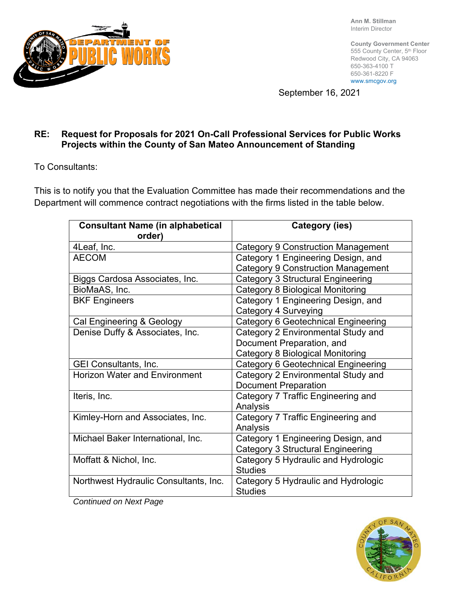

**Ann M. Stillman**  Interim Director

**County Government Center**  555 County Center, 5th Floor Redwood City, CA 94063 650-363-4100 T 650-361-8220 F www.smcgov.org

September 16, 2021

## **RE: Request for Proposals for 2021 On-Call Professional Services for Public Works Projects within the County of San Mateo Announcement of Standing**

To Consultants:

This is to notify you that the Evaluation Committee has made their recommendations and the Department will commence contract negotiations with the firms listed in the table below.

| <b>Consultant Name (in alphabetical</b><br>order)        | Category (ies)                            |
|----------------------------------------------------------|-------------------------------------------|
| 4Leaf, Inc.                                              | Category 9 Construction Management        |
| <b>AECOM</b>                                             | Category 1 Engineering Design, and        |
|                                                          | <b>Category 9 Construction Management</b> |
| Biggs Cardosa Associates, Inc.                           | <b>Category 3 Structural Engineering</b>  |
| BioMaAS, Inc.                                            | <b>Category 8 Biological Monitoring</b>   |
| <b>BKF Engineers</b>                                     | Category 1 Engineering Design, and        |
|                                                          | Category 4 Surveying                      |
| Cal Engineering & Geology                                | Category 6 Geotechnical Engineering       |
| Denise Duffy & Associates, Inc.                          | Category 2 Environmental Study and        |
|                                                          | Document Preparation, and                 |
|                                                          | <b>Category 8 Biological Monitoring</b>   |
| <b>GEI Consultants, Inc.</b>                             | Category 6 Geotechnical Engineering       |
| <b>Horizon Water and Environment</b>                     | Category 2 Environmental Study and        |
|                                                          | <b>Document Preparation</b>               |
| Iteris, Inc.                                             | Category 7 Traffic Engineering and        |
|                                                          | Analysis                                  |
| Kimley-Horn and Associates, Inc.                         | Category 7 Traffic Engineering and        |
|                                                          | Analysis                                  |
| Michael Baker International, Inc.                        | Category 1 Engineering Design, and        |
|                                                          | Category 3 Structural Engineering         |
| Moffatt & Nichol, Inc.                                   | Category 5 Hydraulic and Hydrologic       |
|                                                          | <b>Studies</b>                            |
| Northwest Hydraulic Consultants, Inc.                    | Category 5 Hydraulic and Hydrologic       |
| $\bigcap$ and the set of the set $\bigcap$ and $\bigcap$ | <b>Studies</b>                            |

*Continued on Next Page*